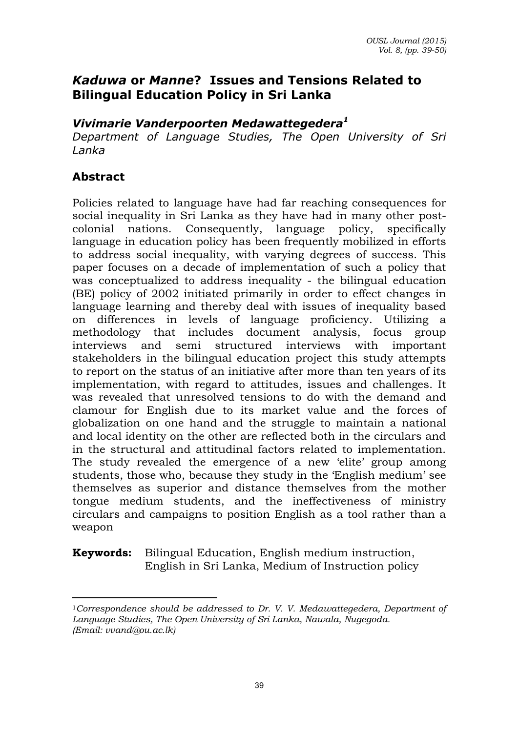## *Kaduwa* **or** *Manne***? Issues and Tensions Related to Bilingual Education Policy in Sri Lanka**

#### *Vivimarie Vanderpoorten Medawattegedera<sup>1</sup>*

*Department of Language Studies, The Open University of Sri Lanka* 

### **Abstract**

 $\overline{\phantom{a}}$ 

Policies related to language have had far reaching consequences for social inequality in Sri Lanka as they have had in many other postcolonial nations. Consequently, language policy, specifically language in education policy has been frequently mobilized in efforts to address social inequality, with varying degrees of success. This paper focuses on a decade of implementation of such a policy that was conceptualized to address inequality - the bilingual education (BE) policy of 2002 initiated primarily in order to effect changes in language learning and thereby deal with issues of inequality based on differences in levels of language proficiency. Utilizing a methodology that includes document analysis, focus group interviews and semi structured interviews with important stakeholders in the bilingual education project this study attempts to report on the status of an initiative after more than ten years of its implementation, with regard to attitudes, issues and challenges. It was revealed that unresolved tensions to do with the demand and clamour for English due to its market value and the forces of globalization on one hand and the struggle to maintain a national and local identity on the other are reflected both in the circulars and in the structural and attitudinal factors related to implementation. The study revealed the emergence of a new 'elite' group among students, those who, because they study in the 'English medium' see themselves as superior and distance themselves from the mother tongue medium students, and the ineffectiveness of ministry circulars and campaigns to position English as a tool rather than a weapon

**Keywords:** Bilingual Education, English medium instruction, English in Sri Lanka, Medium of Instruction policy

<sup>1</sup>*Correspondence should be addressed to Dr. V. V. Medawattegedera, Department of Language Studies, The Open University of Sri Lanka, Nawala, Nugegoda. (Email: [vvand@ou.ac.lk\)](mailto:vvand@ou.ac.lk)*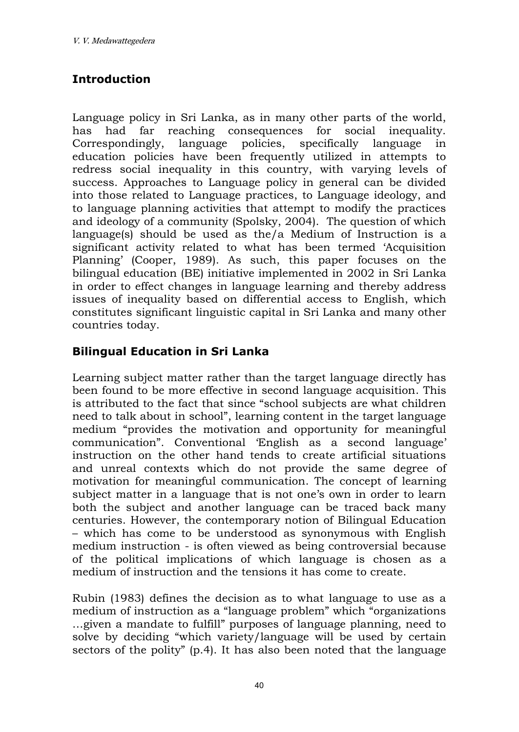### **Introduction**

Language policy in Sri Lanka, as in many other parts of the world, has had far reaching consequences for social inequality. Correspondingly, language policies, specifically language in education policies have been frequently utilized in attempts to redress social inequality in this country, with varying levels of success. Approaches to Language policy in general can be divided into those related to Language practices, to Language ideology, and to language planning activities that attempt to modify the practices and ideology of a community (Spolsky, 2004). The question of which language(s) should be used as the/a Medium of Instruction is a significant activity related to what has been termed 'Acquisition Planning' (Cooper, 1989). As such, this paper focuses on the bilingual education (BE) initiative implemented in 2002 in Sri Lanka in order to effect changes in language learning and thereby address issues of inequality based on differential access to English, which constitutes significant linguistic capital in Sri Lanka and many other countries today.

### **Bilingual Education in Sri Lanka**

Learning subject matter rather than the target language directly has been found to be more effective in second language acquisition. This is attributed to the fact that since "school subjects are what children need to talk about in school", learning content in the target language medium "provides the motivation and opportunity for meaningful communication". Conventional 'English as a second language' instruction on the other hand tends to create artificial situations and unreal contexts which do not provide the same degree of motivation for meaningful communication. The concept of learning subject matter in a language that is not one's own in order to learn both the subject and another language can be traced back many centuries. However, the contemporary notion of Bilingual Education – which has come to be understood as synonymous with English medium instruction - is often viewed as being controversial because of the political implications of which language is chosen as a medium of instruction and the tensions it has come to create.

Rubin (1983) defines the decision as to what language to use as a medium of instruction as a "language problem" which "organizations …given a mandate to fulfill" purposes of language planning, need to solve by deciding "which variety/language will be used by certain sectors of the polity" (p.4). It has also been noted that the language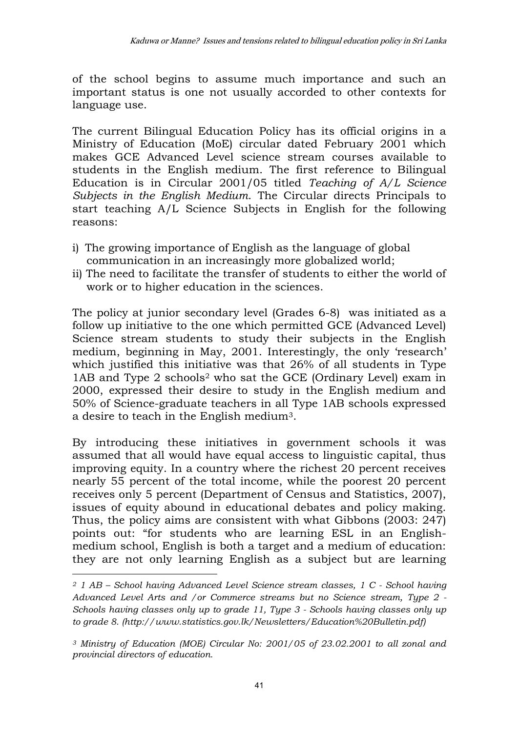of the school begins to assume much importance and such an important status is one not usually accorded to other contexts for language use.

The current Bilingual Education Policy has its official origins in a Ministry of Education (MoE) circular dated February 2001 which makes GCE Advanced Level science stream courses available to students in the English medium. The first reference to Bilingual Education is in Circular 2001/05 titled *Teaching of A/L Science Subjects in the English Medium*. The Circular directs Principals to start teaching A/L Science Subjects in English for the following reasons:

- i) The growing importance of English as the language of global communication in an increasingly more globalized world;
- ii) The need to facilitate the transfer of students to either the world of work or to higher education in the sciences.

The policy at junior secondary level (Grades 6-8) was initiated as a follow up initiative to the one which permitted GCE (Advanced Level) Science stream students to study their subjects in the English medium, beginning in May, 2001. Interestingly, the only 'research' which justified this initiative was that 26% of all students in Type 1AB and Type 2 schools2 who sat the GCE (Ordinary Level) exam in 2000, expressed their desire to study in the English medium and 50% of Science-graduate teachers in all Type 1AB schools expressed a desire to teach in the English medium3.

By introducing these initiatives in government schools it was assumed that all would have equal access to linguistic capital, thus improving equity. In a country where the richest 20 percent receives nearly 55 percent of the total income, while the poorest 20 percent receives only 5 percent (Department of Census and Statistics, 2007), issues of equity abound in educational debates and policy making. Thus, the policy aims are consistent with what Gibbons (2003: 247) points out: "for students who are learning ESL in an Englishmedium school, English is both a target and a medium of education: they are not only learning English as a subject but are learning

 $\overline{a}$ *<sup>2</sup> 1 AB – School having Advanced Level Science stream classes, 1 C - School having Advanced Level Arts and /or Commerce streams but no Science stream, Type 2 - Schools having classes only up to grade 11, Type 3 - Schools having classes only up to grade 8. (http://www.statistics.gov.lk/Newsletters/Education%20Bulletin.pdf)* 

*<sup>3</sup> Ministry of Education (MOE) Circular No: 2001/05 of 23.02.2001 to all zonal and provincial directors of education.*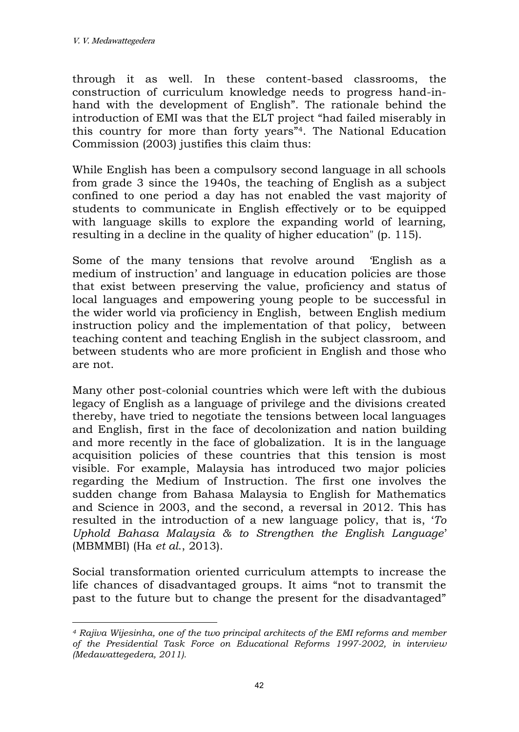through it as well. In these content-based classrooms, the construction of curriculum knowledge needs to progress hand-inhand with the development of English". The rationale behind the introduction of EMI was that the ELT project "had failed miserably in this country for more than forty years"4. The National Education Commission (2003) justifies this claim thus:

While English has been a compulsory second language in all schools from grade 3 since the 1940s, the teaching of English as a subject confined to one period a day has not enabled the vast majority of students to communicate in English effectively or to be equipped with language skills to explore the expanding world of learning, resulting in a decline in the quality of higher education" (p. 115).

Some of the many tensions that revolve around 'English as a medium of instruction' and language in education policies are those that exist between preserving the value, proficiency and status of local languages and empowering young people to be successful in the wider world via proficiency in English, between English medium instruction policy and the implementation of that policy, between teaching content and teaching English in the subject classroom, and between students who are more proficient in English and those who are not.

Many other post-colonial countries which were left with the dubious legacy of English as a language of privilege and the divisions created thereby, have tried to negotiate the tensions between local languages and English, first in the face of decolonization and nation building and more recently in the face of globalization. It is in the language acquisition policies of these countries that this tension is most visible. For example, Malaysia has introduced two major policies regarding the Medium of Instruction. The first one involves the sudden change from Bahasa Malaysia to English for Mathematics and Science in 2003, and the second, a reversal in 2012. This has resulted in the introduction of a new language policy, that is, '*To Uphold Bahasa Malaysia & to Strengthen the English Language*' (MBMMBI) (Ha *et al*., 2013).

Social transformation oriented curriculum attempts to increase the life chances of disadvantaged groups. It aims "not to transmit the past to the future but to change the present for the disadvantaged"

 $\overline{\phantom{a}}$ *<sup>4</sup> Rajiva Wijesinha, one of the two principal architects of the EMI reforms and member of the Presidential Task Force on Educational Reforms 1997-2002, in interview (Medawattegedera, 2011).*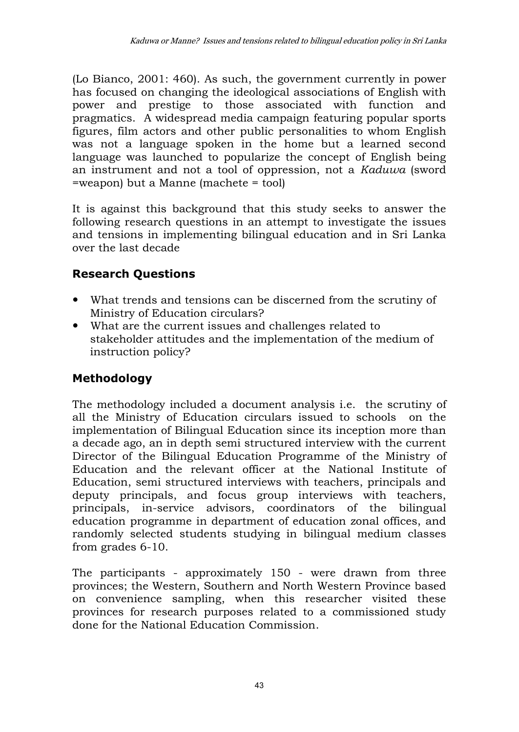(Lo Bianco, 2001: 460). As such, the government currently in power has focused on changing the ideological associations of English with power and prestige to those associated with function and pragmatics. A widespread media campaign featuring popular sports figures, film actors and other public personalities to whom English was not a language spoken in the home but a learned second language was launched to popularize the concept of English being an instrument and not a tool of oppression, not a *Kaduwa* (sword =weapon) but a Manne (machete = tool)

It is against this background that this study seeks to answer the following research questions in an attempt to investigate the issues and tensions in implementing bilingual education and in Sri Lanka over the last decade

## **Research Questions**

- What trends and tensions can be discerned from the scrutiny of Ministry of Education circulars?
- What are the current issues and challenges related to stakeholder attitudes and the implementation of the medium of instruction policy?

# **Methodology**

The methodology included a document analysis i.e. the scrutiny of all the Ministry of Education circulars issued to schools on the implementation of Bilingual Education since its inception more than a decade ago, an in depth semi structured interview with the current Director of the Bilingual Education Programme of the Ministry of Education and the relevant officer at the National Institute of Education, semi structured interviews with teachers, principals and deputy principals, and focus group interviews with teachers, principals, in-service advisors, coordinators of the bilingual education programme in department of education zonal offices, and randomly selected students studying in bilingual medium classes from grades 6-10.

The participants - approximately 150 - were drawn from three provinces; the Western, Southern and North Western Province based on convenience sampling, when this researcher visited these provinces for research purposes related to a commissioned study done for the National Education Commission.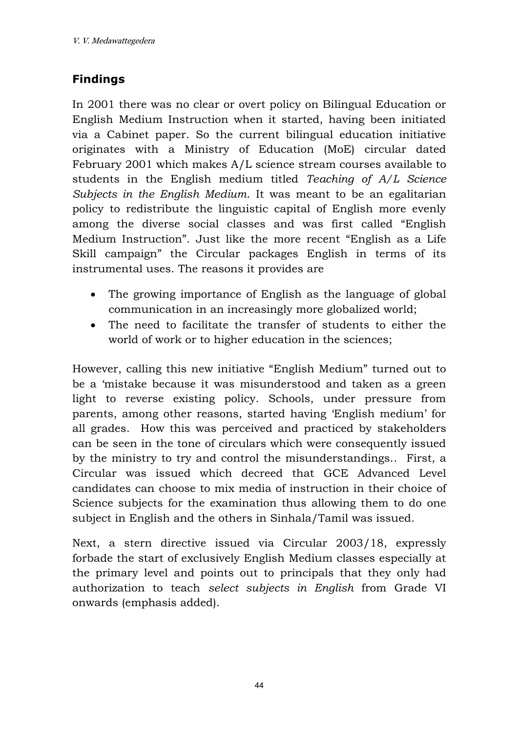## **Findings**

In 2001 there was no clear or overt policy on Bilingual Education or English Medium Instruction when it started, having been initiated via a Cabinet paper. So the current bilingual education initiative originates with a Ministry of Education (MoE) circular dated February 2001 which makes A/L science stream courses available to students in the English medium titled *Teaching of A/L Science Subjects in the English Medium*. It was meant to be an egalitarian policy to redistribute the linguistic capital of English more evenly among the diverse social classes and was first called "English Medium Instruction". Just like the more recent "English as a Life Skill campaign" the Circular packages English in terms of its instrumental uses. The reasons it provides are

- The growing importance of English as the language of global communication in an increasingly more globalized world;
- The need to facilitate the transfer of students to either the world of work or to higher education in the sciences;

However, calling this new initiative "English Medium" turned out to be a 'mistake because it was misunderstood and taken as a green light to reverse existing policy. Schools, under pressure from parents, among other reasons, started having 'English medium' for all grades. How this was perceived and practiced by stakeholders can be seen in the tone of circulars which were consequently issued by the ministry to try and control the misunderstandings.. First, a Circular was issued which decreed that GCE Advanced Level candidates can choose to mix media of instruction in their choice of Science subjects for the examination thus allowing them to do one subject in English and the others in Sinhala/Tamil was issued.

Next, a stern directive issued via Circular 2003/18, expressly forbade the start of exclusively English Medium classes especially at the primary level and points out to principals that they only had authorization to teach *select subjects in English* from Grade VI onwards (emphasis added).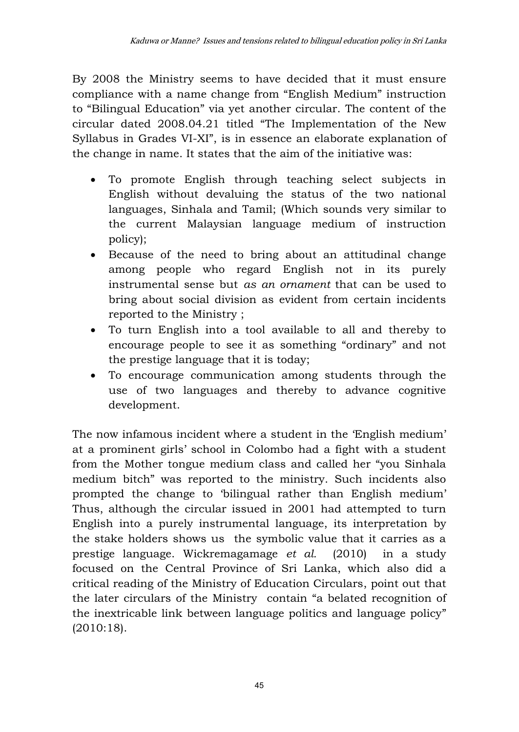By 2008 the Ministry seems to have decided that it must ensure compliance with a name change from "English Medium" instruction to "Bilingual Education" via yet another circular. The content of the circular dated 2008.04.21 titled "The Implementation of the New Syllabus in Grades VI-XI", is in essence an elaborate explanation of the change in name. It states that the aim of the initiative was:

- To promote English through teaching select subjects in English without devaluing the status of the two national languages, Sinhala and Tamil; (Which sounds very similar to the current Malaysian language medium of instruction policy);
- Because of the need to bring about an attitudinal change among people who regard English not in its purely instrumental sense but *as an ornament* that can be used to bring about social division as evident from certain incidents reported to the Ministry ;
- To turn English into a tool available to all and thereby to encourage people to see it as something "ordinary" and not the prestige language that it is today;
- To encourage communication among students through the use of two languages and thereby to advance cognitive development.

The now infamous incident where a student in the 'English medium' at a prominent girls' school in Colombo had a fight with a student from the Mother tongue medium class and called her "you Sinhala medium bitch" was reported to the ministry. Such incidents also prompted the change to 'bilingual rather than English medium' Thus, although the circular issued in 2001 had attempted to turn English into a purely instrumental language, its interpretation by the stake holders shows us the symbolic value that it carries as a prestige language. Wickremagamage *et al.* (2010) in a study focused on the Central Province of Sri Lanka, which also did a critical reading of the Ministry of Education Circulars, point out that the later circulars of the Ministry contain "a belated recognition of the inextricable link between language politics and language policy" (2010:18).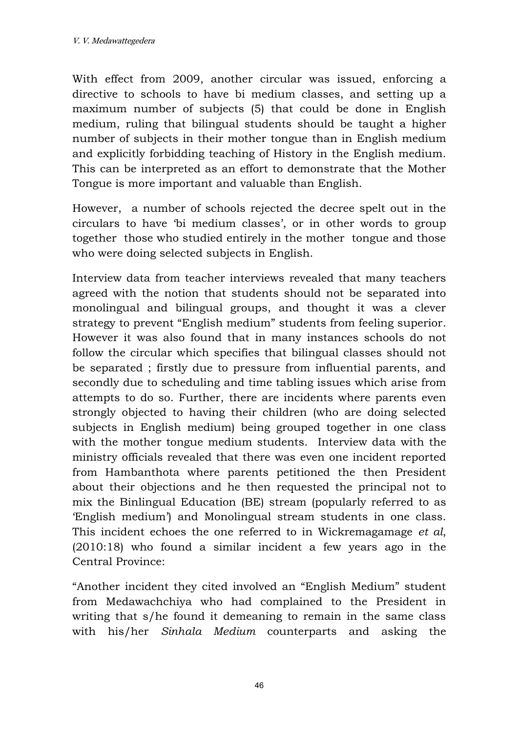With effect from 2009, another circular was issued, enforcing a directive to schools to have bi medium classes, and setting up a maximum number of subjects (5) that could be done in English medium, ruling that bilingual students should be taught a higher number of subjects in their mother tongue than in English medium and explicitly forbidding teaching of History in the English medium. This can be interpreted as an effort to demonstrate that the Mother Tongue is more important and valuable than English.

However, a number of schools rejected the decree spelt out in the circulars to have 'bi medium classes', or in other words to group together those who studied entirely in the mother tongue and those who were doing selected subjects in English.

Interview data from teacher interviews revealed that many teachers agreed with the notion that students should not be separated into monolingual and bilingual groups, and thought it was a clever strategy to prevent "English medium" students from feeling superior. However it was also found that in many instances schools do not follow the circular which specifies that bilingual classes should not be separated ; firstly due to pressure from influential parents, and secondly due to scheduling and time tabling issues which arise from attempts to do so. Further, there are incidents where parents even strongly objected to having their children (who are doing selected subjects in English medium) being grouped together in one class with the mother tongue medium students. Interview data with the ministry officials revealed that there was even one incident reported from Hambanthota where parents petitioned the then President about their objections and he then requested the principal not to mix the Binlingual Education (BE) stream (popularly referred to as 'English medium') and Monolingual stream students in one class. This incident echoes the one referred to in Wickremagamage *et al*, (2010:18) who found a similar incident a few years ago in the Central Province:

"Another incident they cited involved an "English Medium" student from Medawachchiya who had complained to the President in writing that s/he found it demeaning to remain in the same class with his/her *Sinhala Medium* counterparts and asking the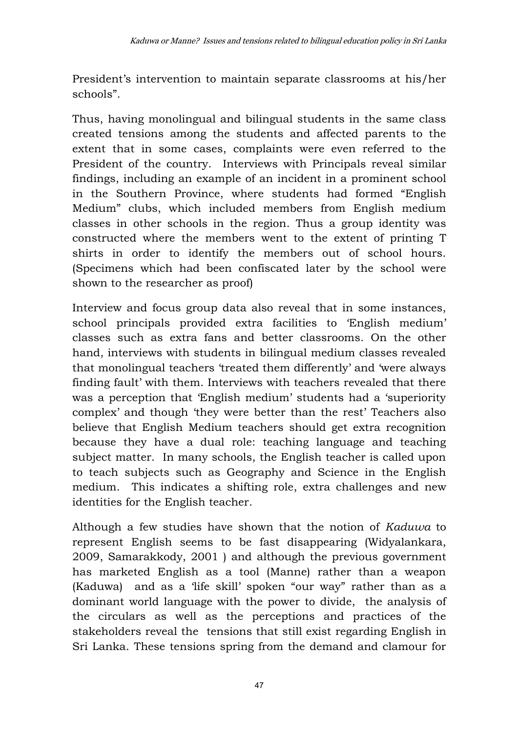President's intervention to maintain separate classrooms at his/her schools".

Thus, having monolingual and bilingual students in the same class created tensions among the students and affected parents to the extent that in some cases, complaints were even referred to the President of the country. Interviews with Principals reveal similar findings, including an example of an incident in a prominent school in the Southern Province, where students had formed "English Medium" clubs, which included members from English medium classes in other schools in the region. Thus a group identity was constructed where the members went to the extent of printing T shirts in order to identify the members out of school hours. (Specimens which had been confiscated later by the school were shown to the researcher as proof)

Interview and focus group data also reveal that in some instances, school principals provided extra facilities to 'English medium' classes such as extra fans and better classrooms. On the other hand, interviews with students in bilingual medium classes revealed that monolingual teachers 'treated them differently' and 'were always finding fault' with them. Interviews with teachers revealed that there was a perception that 'English medium' students had a 'superiority complex' and though 'they were better than the rest' Teachers also believe that English Medium teachers should get extra recognition because they have a dual role: teaching language and teaching subject matter. In many schools, the English teacher is called upon to teach subjects such as Geography and Science in the English medium. This indicates a shifting role, extra challenges and new identities for the English teacher.

Although a few studies have shown that the notion of *Kaduwa* to represent English seems to be fast disappearing (Widyalankara, 2009, Samarakkody, 2001 ) and although the previous government has marketed English as a tool (Manne) rather than a weapon (Kaduwa) and as a 'life skill' spoken "our way" rather than as a dominant world language with the power to divide, the analysis of the circulars as well as the perceptions and practices of the stakeholders reveal the tensions that still exist regarding English in Sri Lanka. These tensions spring from the demand and clamour for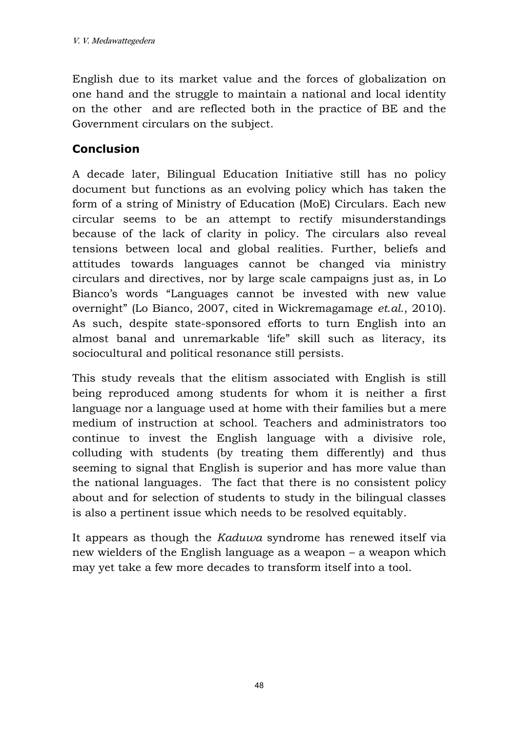English due to its market value and the forces of globalization on one hand and the struggle to maintain a national and local identity on the other and are reflected both in the practice of BE and the Government circulars on the subject.

## **Conclusion**

A decade later, Bilingual Education Initiative still has no policy document but functions as an evolving policy which has taken the form of a string of Ministry of Education (MoE) Circulars. Each new circular seems to be an attempt to rectify misunderstandings because of the lack of clarity in policy. The circulars also reveal tensions between local and global realities. Further, beliefs and attitudes towards languages cannot be changed via ministry circulars and directives, nor by large scale campaigns just as, in Lo Bianco's words "Languages cannot be invested with new value overnight" (Lo Bianco, 2007, cited in Wickremagamage *et.al*., 2010). As such, despite state-sponsored efforts to turn English into an almost banal and unremarkable 'life" skill such as literacy, its sociocultural and political resonance still persists.

This study reveals that the elitism associated with English is still being reproduced among students for whom it is neither a first language nor a language used at home with their families but a mere medium of instruction at school. Teachers and administrators too continue to invest the English language with a divisive role, colluding with students (by treating them differently) and thus seeming to signal that English is superior and has more value than the national languages. The fact that there is no consistent policy about and for selection of students to study in the bilingual classes is also a pertinent issue which needs to be resolved equitably.

It appears as though the *Kaduwa* syndrome has renewed itself via new wielders of the English language as a weapon – a weapon which may yet take a few more decades to transform itself into a tool.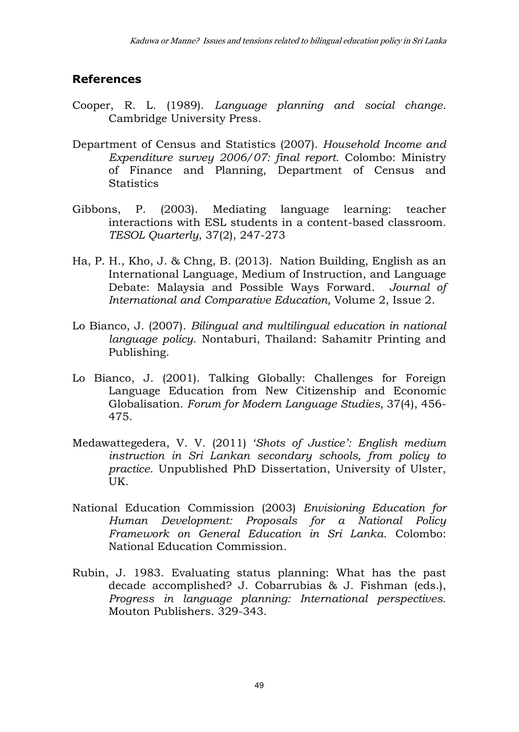#### **References**

- Cooper, R. L. (1989). *Language planning and social change*. Cambridge University Press.
- Department of Census and Statistics (2007). *Household Income and Expenditure survey 2006/07: final report*. Colombo: Ministry of Finance and Planning, Department of Census and **Statistics**
- Gibbons, P. (2003). Mediating language learning: teacher interactions with ESL students in a content-based classroom. *TESOL Quarterly*, 37(2), 247-273
- Ha, P. H., Kho, J. & Chng, B. (2013). Nation Building, English as an International Language, Medium of Instruction, and Language Debate: Malaysia and Possible Ways Forward. *Journal of International and Comparative Education,* Volume 2, Issue 2.
- Lo Bianco, J. (2007). *Bilingual and multilingual education in national language policy*. Nontaburi, Thailand: Sahamitr Printing and Publishing.
- Lo Bianco, J. (2001). Talking Globally: Challenges for Foreign Language Education from New Citizenship and Economic Globalisation. *Forum for Modern Language Studies*, 37(4), 456- 475.
- Medawattegedera, V. V. (2011) '*Shots of Justice': English medium instruction in Sri Lankan secondary schools, from policy to practice*. Unpublished PhD Dissertation, University of Ulster, UK.
- National Education Commission (2003) *Envisioning Education for Human Development: Proposals for a National Policy Framework on General Education in Sri Lanka*. Colombo: National Education Commission.
- Rubin, J. 1983. Evaluating status planning: What has the past decade accomplished? J. Cobarrubias & J. Fishman (eds.), *Progress in language planning: International perspectives.* Mouton Publishers. 329-343.